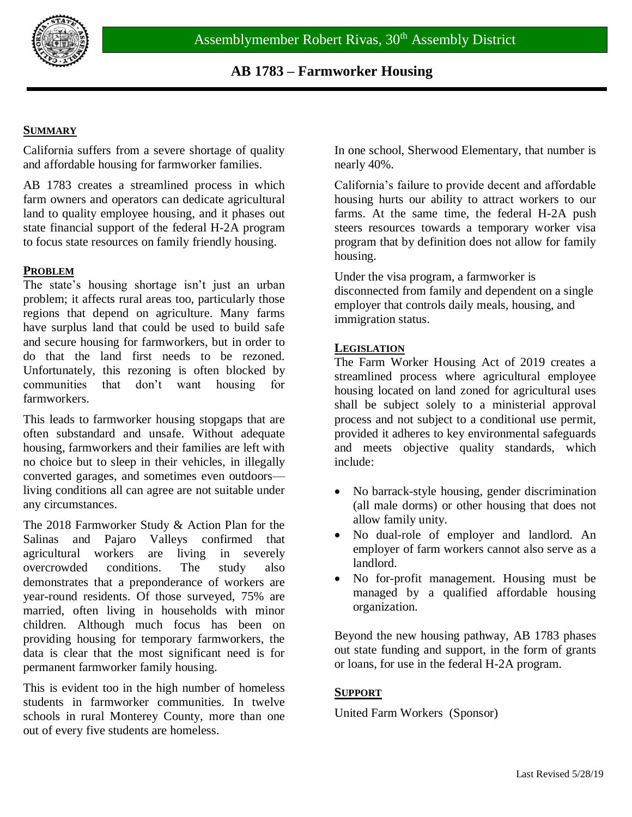

## **SUMMARY**

California suffers from a severe shortage of quality and affordable housing for farmworker families.

AB 1783 creates a streamlined process in which farm owners and operators can dedicate agricultural land to quality employee housing, and it phases out state financial support of the federal H-2A program to focus state resources on family friendly housing.

#### **PROBLEM**

The state's housing shortage isn't just an urban problem; it affects rural areas too, particularly those regions that depend on agriculture. Many farms have surplus land that could be used to build safe and secure housing for farmworkers, but in order to do that the land first needs to be rezoned. Unfortunately, this rezoning is often blocked by communities that don't want housing for farmworkers.

This leads to farmworker housing stopgaps that are often substandard and unsafe. Without adequate housing, farmworkers and their families are left with no choice but to sleep in their vehicles, in illegally converted garages, and sometimes even outdoors living conditions all can agree are not suitable under any circumstances.

The 2018 Farmworker Study & Action Plan for the Salinas and Pajaro Valleys confirmed that agricultural workers are living in severely overcrowded conditions. The study also demonstrates that a preponderance of workers are year-round residents. Of those surveyed, 75% are married, often living in households with minor children. Although much focus has been on providing housing for temporary farmworkers, the data is clear that the most significant need is for permanent farmworker family housing.

This is evident too in the high number of homeless students in farmworker communities. In twelve schools in rural Monterey County, more than one out of every five students are homeless.

In one school, Sherwood Elementary, that number is nearly 40%.

California's failure to provide decent and affordable housing hurts our ability to attract workers to our farms. At the same time, the federal H-2A push steers resources towards a temporary worker visa program that by definition does not allow for family housing.

Under the visa program, a farmworker is disconnected from family and dependent on a single employer that controls daily meals, housing, and immigration status.

#### **LEGISLATION**

The Farm Worker Housing Act of 2019 creates a streamlined process where agricultural employee housing located on land zoned for agricultural uses shall be subject solely to a ministerial approval process and not subject to a conditional use permit, provided it adheres to key environmental safeguards and meets objective quality standards, which include:

- No barrack-style housing, gender discrimination (all male dorms) or other housing that does not allow family unity.
- No dual-role of employer and landlord. An employer of farm workers cannot also serve as a landlord.
- No for-profit management. Housing must be managed by a qualified affordable housing organization.

Beyond the new housing pathway, AB 1783 phases out state funding and support, in the form of grants or loans, for use in the federal H-2A program.

## **SUPPORT**

United Farm Workers (Sponsor)